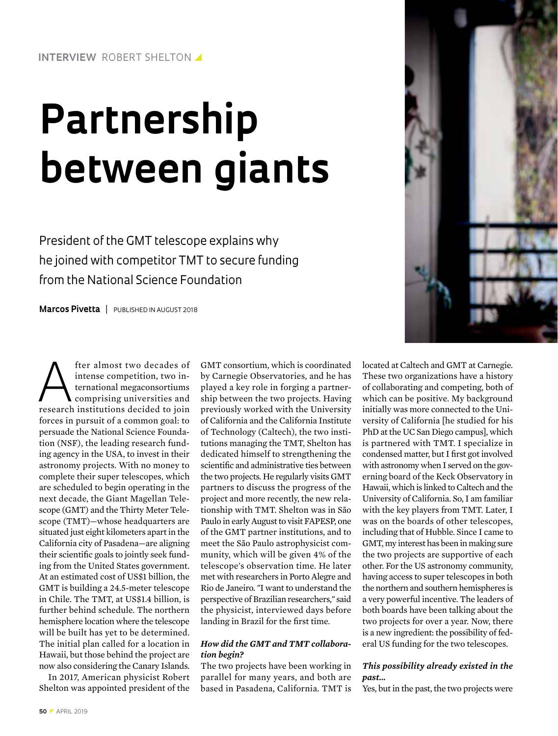# **Partnership between giants**

President of the GMT telescope explains why he joined with competitor TMT to secure funding from the National Science Foundation

**Marcos Pivetta** | PUBLISHED IN AUGUST 2018



A fter almost two decades of<br>
intense competition, two in-<br>
ternational megaconsortiums<br>
comprising universities and<br>
research institutions decided to join intense competition, two international megaconsortiums research institutions decided to join forces in pursuit of a common goal: to persuade the National Science Foundation (NSF), the leading research funding agency in the USA, to invest in their astronomy projects. With no money to complete their super telescopes, which are scheduled to begin operating in the next decade, the Giant Magellan Telescope (GMT) and the Thirty Meter Telescope (TMT)—whose headquarters are situated just eight kilometers apart in the California city of Pasadena—are aligning their scientific goals to jointly seek funding from the United States government. At an estimated cost of US\$1 billion, the GMT is building a 24.5-meter telescope in Chile. The TMT, at US\$1.4 billion, is further behind schedule. The northern hemisphere location where the telescope will be built has yet to be determined. The initial plan called for a location in Hawaii, but those behind the project are now also considering the Canary Islands.

In 2017, American physicist Robert Shelton was appointed president of the

GMT consortium, which is coordinated by Carnegie Observatories, and he has played a key role in forging a partnership between the two projects. Having previously worked with the University of California and the California Institute of Technology (Caltech), the two institutions managing the TMT, Shelton has dedicated himself to strengthening the scientific and administrative ties between the two projects. He regularly visits GMT partners to discuss the progress of the project and more recently, the new relationship with TMT. Shelton was in São Paulo in early August to visit FAPESP, one of the GMT partner institutions, and to meet the São Paulo astrophysicist community, which will be given 4% of the telescope's observation time. He later met with researchers in Porto Alegre and Rio de Janeiro. "I want to understand the perspective of Brazilian researchers," said the physicist, interviewed days before landing in Brazil for the first time.

#### *How did the GMT and TMT collaboration begin?*

The two projects have been working in parallel for many years, and both are based in Pasadena, California. TMT is located at Caltech and GMT at Carnegie. These two organizations have a history of collaborating and competing, both of which can be positive. My background initially was more connected to the University of California [he studied for his PhD at the UC San Diego campus], which is partnered with TMT. I specialize in condensed matter, but I first got involved with astronomy when I served on the governing board of the Keck Observatory in Hawaii, which is linked to Caltech and the University of California. So, I am familiar with the key players from TMT. Later, I was on the boards of other telescopes, including that of Hubble. Since I came to GMT, my interest has been in making sure the two projects are supportive of each other. For the US astronomy community, having access to super telescopes in both the northern and southern hemispheres is a very powerful incentive. The leaders of both boards have been talking about the two projects for over a year. Now, there is a new ingredient: the possibility of federal US funding for the two telescopes.

# *This possibility already existed in the past...*

Yes, but in the past, the two projects were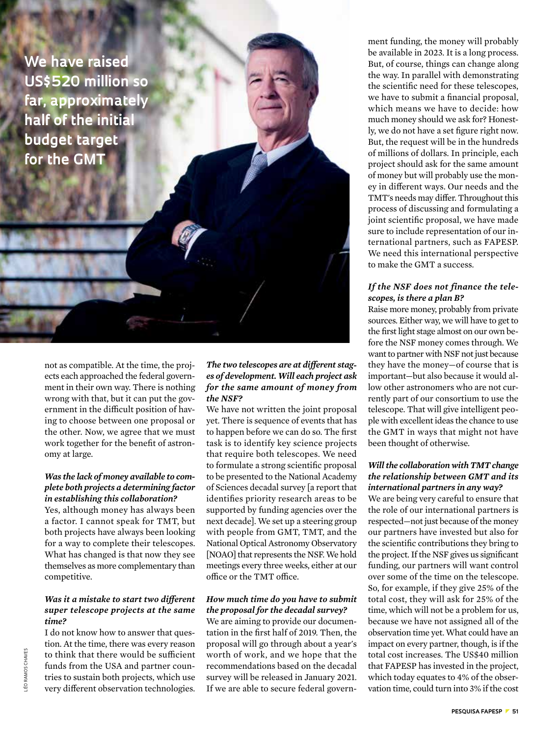**We have raised US\$520 million so far, approximately half of the initial budget target for the GMT** 

> not as compatible. At the time, the projects each approached the federal government in their own way. There is nothing wrong with that, but it can put the government in the difficult position of having to choose between one proposal or the other. Now, we agree that we must work together for the benefit of astronomy at large.

### *Was the lack of money available to complete both projects a determining factor in establishing this collaboration?*

Yes, although money has always been a factor. I cannot speak for TMT, but both projects have always been looking for a way to complete their telescopes. What has changed is that now they see themselves as more complementary than competitive.

## *Was it a mistake to start two different super telescope projects at the same time?*

I do not know how to answer that question. At the time, there was every reason to think that there would be sufficient funds from the USA and partner countries to sustain both projects, which use very different observation technologies.

## *The two telescopes are at different stages of development. Will each project ask for the same amount of money from the NSF?*

We have not written the joint proposal yet. There is sequence of events that has to happen before we can do so. The first task is to identify key science projects that require both telescopes. We need to formulate a strong scientific proposal to be presented to the National Academy of Sciences decadal survey [a report that identifies priority research areas to be supported by funding agencies over the next decade]. We set up a steering group with people from GMT, TMT, and the National Optical Astronomy Observatory [NOAO] that represents the NSF. We hold meetings every three weeks, either at our office or the TMT office.

# *How much time do you have to submit the proposal for the decadal survey?*

We are aiming to provide our documentation in the first half of 2019. Then, the proposal will go through about a year's worth of work, and we hope that the recommendations based on the decadal survey will be released in January 2021. If we are able to secure federal government funding, the money will probably be available in 2023. It is a long process. But, of course, things can change along the way. In parallel with demonstrating the scientific need for these telescopes, we have to submit a financial proposal, which means we have to decide: how much money should we ask for? Honestly, we do not have a set figure right now. But, the request will be in the hundreds of millions of dollars. In principle, each project should ask for the same amount of money but will probably use the money in different ways. Our needs and the TMT's needs may differ. Throughout this process of discussing and formulating a joint scientific proposal, we have made sure to include representation of our international partners, such as FAPESP. We need this international perspective to make the GMT a success.

### *If the NSF does not finance the telescopes, is there a plan B?*

Raise more money, probably from private sources. Either way, we will have to get to the first light stage almost on our own before the NSF money comes through. We want to partner with NSF not just because they have the money—of course that is important—but also because it would allow other astronomers who are not currently part of our consortium to use the telescope. That will give intelligent people with excellent ideas the chance to use the GMT in ways that might not have been thought of otherwise.

## *Will the collaboration with TMT change the relationship between GMT and its international partners in any way?*

We are being very careful to ensure that the role of our international partners is respected—not just because of the money our partners have invested but also for the scientific contributions they bring to the project. If the NSF gives us significant funding, our partners will want control over some of the time on the telescope. So, for example, if they give 25% of the total cost, they will ask for 25% of the time, which will not be a problem for us, because we have not assigned all of the observation time yet. What could have an impact on every partner, though, is if the total cost increases. The US\$40 million that FAPESP has invested in the project, which today equates to 4% of the observation time, could turn into 3% if the cost